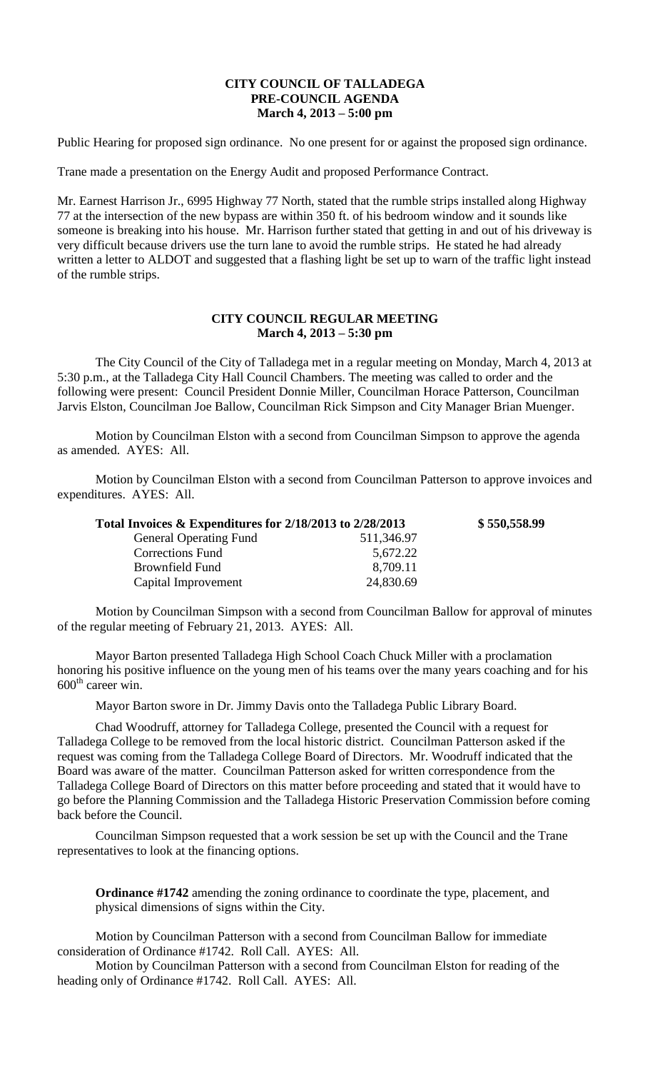## **CITY COUNCIL OF TALLADEGA PRE-COUNCIL AGENDA March 4, 2013 – 5:00 pm**

Public Hearing for proposed sign ordinance. No one present for or against the proposed sign ordinance.

Trane made a presentation on the Energy Audit and proposed Performance Contract.

Mr. Earnest Harrison Jr., 6995 Highway 77 North, stated that the rumble strips installed along Highway 77 at the intersection of the new bypass are within 350 ft. of his bedroom window and it sounds like someone is breaking into his house. Mr. Harrison further stated that getting in and out of his driveway is very difficult because drivers use the turn lane to avoid the rumble strips. He stated he had already written a letter to ALDOT and suggested that a flashing light be set up to warn of the traffic light instead of the rumble strips.

## **CITY COUNCIL REGULAR MEETING March 4, 2013 – 5:30 pm**

The City Council of the City of Talladega met in a regular meeting on Monday, March 4, 2013 at 5:30 p.m., at the Talladega City Hall Council Chambers. The meeting was called to order and the following were present: Council President Donnie Miller, Councilman Horace Patterson, Councilman Jarvis Elston, Councilman Joe Ballow, Councilman Rick Simpson and City Manager Brian Muenger.

Motion by Councilman Elston with a second from Councilman Simpson to approve the agenda as amended. AYES: All.

Motion by Councilman Elston with a second from Councilman Patterson to approve invoices and expenditures. AYES: All.

| Total Invoices & Expenditures for 2/18/2013 to 2/28/2013 | \$550,558.99 |
|----------------------------------------------------------|--------------|
| 511,346.97                                               |              |
| 5,672.22                                                 |              |
| 8,709.11                                                 |              |
| 24,830.69                                                |              |
|                                                          |              |

Motion by Councilman Simpson with a second from Councilman Ballow for approval of minutes of the regular meeting of February 21, 2013. AYES: All.

Mayor Barton presented Talladega High School Coach Chuck Miller with a proclamation honoring his positive influence on the young men of his teams over the many years coaching and for his  $600^{\text{th}}$  career win.

Mayor Barton swore in Dr. Jimmy Davis onto the Talladega Public Library Board.

Chad Woodruff, attorney for Talladega College, presented the Council with a request for Talladega College to be removed from the local historic district. Councilman Patterson asked if the request was coming from the Talladega College Board of Directors. Mr. Woodruff indicated that the Board was aware of the matter. Councilman Patterson asked for written correspondence from the Talladega College Board of Directors on this matter before proceeding and stated that it would have to go before the Planning Commission and the Talladega Historic Preservation Commission before coming back before the Council.

Councilman Simpson requested that a work session be set up with the Council and the Trane representatives to look at the financing options.

**Ordinance #1742** amending the zoning ordinance to coordinate the type, placement, and physical dimensions of signs within the City.

Motion by Councilman Patterson with a second from Councilman Ballow for immediate consideration of Ordinance #1742. Roll Call. AYES: All.

Motion by Councilman Patterson with a second from Councilman Elston for reading of the heading only of Ordinance #1742. Roll Call. AYES: All.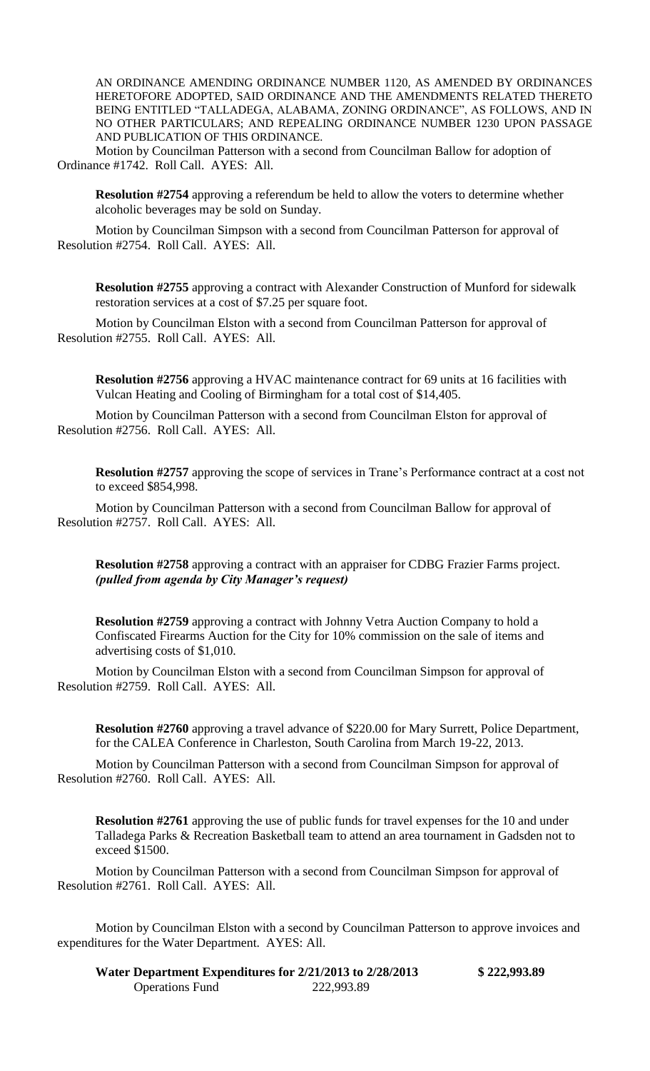AN ORDINANCE AMENDING ORDINANCE NUMBER 1120, AS AMENDED BY ORDINANCES HERETOFORE ADOPTED, SAID ORDINANCE AND THE AMENDMENTS RELATED THERETO BEING ENTITLED "TALLADEGA, ALABAMA, ZONING ORDINANCE", AS FOLLOWS, AND IN NO OTHER PARTICULARS; AND REPEALING ORDINANCE NUMBER 1230 UPON PASSAGE AND PUBLICATION OF THIS ORDINANCE.

Motion by Councilman Patterson with a second from Councilman Ballow for adoption of Ordinance #1742. Roll Call. AYES: All.

**Resolution #2754** approving a referendum be held to allow the voters to determine whether alcoholic beverages may be sold on Sunday.

Motion by Councilman Simpson with a second from Councilman Patterson for approval of Resolution #2754. Roll Call. AYES: All.

**Resolution #2755** approving a contract with Alexander Construction of Munford for sidewalk restoration services at a cost of \$7.25 per square foot.

Motion by Councilman Elston with a second from Councilman Patterson for approval of Resolution #2755. Roll Call. AYES: All.

**Resolution #2756** approving a HVAC maintenance contract for 69 units at 16 facilities with Vulcan Heating and Cooling of Birmingham for a total cost of \$14,405.

Motion by Councilman Patterson with a second from Councilman Elston for approval of Resolution #2756. Roll Call. AYES: All.

**Resolution #2757** approving the scope of services in Trane's Performance contract at a cost not to exceed \$854,998.

Motion by Councilman Patterson with a second from Councilman Ballow for approval of Resolution #2757. Roll Call. AYES: All.

**Resolution #2758** approving a contract with an appraiser for CDBG Frazier Farms project. *(pulled from agenda by City Manager's request)*

**Resolution #2759** approving a contract with Johnny Vetra Auction Company to hold a Confiscated Firearms Auction for the City for 10% commission on the sale of items and advertising costs of \$1,010.

Motion by Councilman Elston with a second from Councilman Simpson for approval of Resolution #2759. Roll Call. AYES: All.

**Resolution #2760** approving a travel advance of \$220.00 for Mary Surrett, Police Department, for the CALEA Conference in Charleston, South Carolina from March 19-22, 2013.

Motion by Councilman Patterson with a second from Councilman Simpson for approval of Resolution #2760. Roll Call. AYES: All.

**Resolution #2761** approving the use of public funds for travel expenses for the 10 and under Talladega Parks & Recreation Basketball team to attend an area tournament in Gadsden not to exceed \$1500.

Motion by Councilman Patterson with a second from Councilman Simpson for approval of Resolution #2761. Roll Call. AYES: All.

Motion by Councilman Elston with a second by Councilman Patterson to approve invoices and expenditures for the Water Department. AYES: All.

| Water Department Expenditures for 2/21/2013 to 2/28/2013 |            | \$222,993.89 |
|----------------------------------------------------------|------------|--------------|
| <b>Operations Fund</b>                                   | 222,993.89 |              |